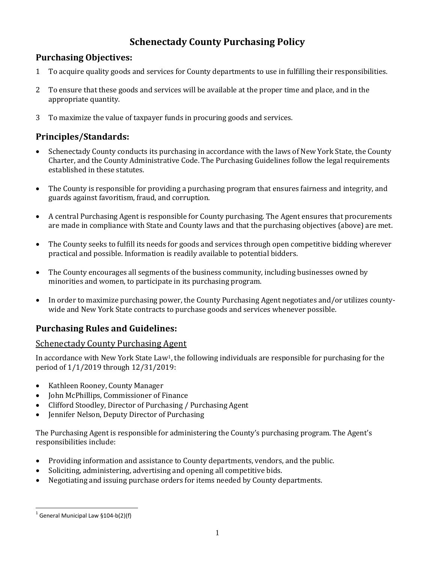# **Schenectady County Purchasing Policy**

# **Purchasing Objectives:**

- 1 To acquire quality goods and services for County departments to use in fulfilling their responsibilities.
- 2 To ensure that these goods and services will be available at the proper time and place, and in the appropriate quantity.
- 3 To maximize the value of taxpayer funds in procuring goods and services.

# **Principles/Standards:**

- Schenectady County conducts its purchasing in accordance with the laws of New York State, the County Charter, and the County Administrative Code. The Purchasing Guidelines follow the legal requirements established in these statutes.
- The County is responsible for providing a purchasing program that ensures fairness and integrity, and guards against favoritism, fraud, and corruption.
- A central Purchasing Agent is responsible for County purchasing. The Agent ensures that procurements are made in compliance with State and County laws and that the purchasing objectives (above) are met.
- The County seeks to fulfill its needs for goods and services through open competitive bidding wherever practical and possible. Information is readily available to potential bidders.
- The County encourages all segments of the business community, including businesses owned by minorities and women, to participate in its purchasing program.
- In order to maximize purchasing power, the County Purchasing Agent negotiates and/or utilizes countywide and New York State contracts to purchase goods and services whenever possible.

# **Purchasing Rules and Guidelines:**

## Schenectady County Purchasing Agent

In accordance with New York State Law[1,](#page-0-0) the following individuals are responsible for purchasing for the period of 1/1/2019 through 12/31/2019:

- Kathleen Rooney, County Manager
- John McPhillips, Commissioner of Finance
- Clifford Stoodley, Director of Purchasing / Purchasing Agent
- Jennifer Nelson, Deputy Director of Purchasing

The Purchasing Agent is responsible for administering the County's purchasing program. The Agent's responsibilities include:

- Providing information and assistance to County departments, vendors, and the public.
- Soliciting, administering, advertising and opening all competitive bids.
- Negotiating and issuing purchase orders for items needed by County departments.

<span id="page-0-0"></span> $1$  General Municipal Law §104-b(2)(f)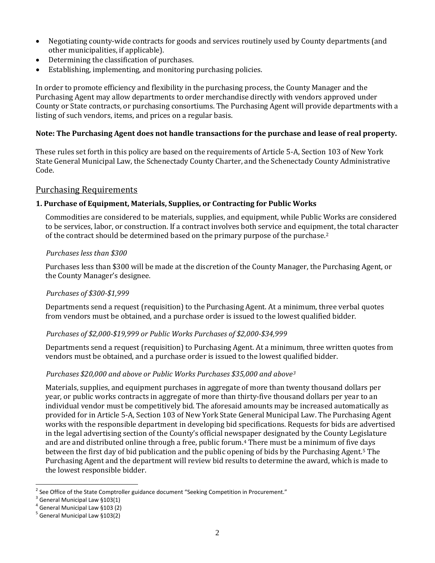- Negotiating county-wide contracts for goods and services routinely used by County departments (and other municipalities, if applicable).
- Determining the classification of purchases.
- Establishing, implementing, and monitoring purchasing policies.

In order to promote efficiency and flexibility in the purchasing process, the County Manager and the Purchasing Agent may allow departments to order merchandise directly with vendors approved under County or State contracts, or purchasing consortiums. The Purchasing Agent will provide departments with a listing of such vendors, items, and prices on a regular basis.

## **Note: The Purchasing Agent does not handle transactions for the purchase and lease of real property.**

These rules set forth in this policy are based on the requirements of Article 5-A, Section 103 of New York State General Municipal Law, the Schenectady County Charter, and the Schenectady County Administrative Code.

## Purchasing Requirements

## **1. Purchase of Equipment, Materials, Supplies, or Contracting for Public Works**

Commodities are considered to be materials, supplies, and equipment, while Public Works are considered to be services, labor, or construction. If a contract involves both service and equipm[en](#page-1-0)t, the total character of the contract should be determined based on the primary purpose of the purchase.2

## *Purchases less than \$300*

Purchases less than \$300 will be made at the discretion of the County Manager, the Purchasing Agent, or the County Manager's designee.

## *Purchases of \$300-\$1,999*

Departments send a request (requisition) to the Purchasing Agent. At a minimum, three verbal quotes from vendors must be obtained, and a purchase order is issued to the lowest qualified bidder.

## *Purchases of \$2,000-\$19,999 or Public Works Purchases of \$2,000-\$34,999*

Departments send a request (requisition) to Purchasing Agent. At a minimum, three written quotes from vendors must be obtained, and a purchase order is issued to the lowest qualified bidder.

## *Purchases \$20,000 and above or Public Works Purchases \$35,000 and above[3](#page-1-1)*

Materials, supplies, and equipment purchases in aggregate of more than twenty thousand dollars per year, or public works contracts in aggregate of more than thirty-five thousand dollars per year to an individual vendor must be competitively bid. The aforesaid amounts may be increased automatically as provided for in Article 5-A, Section 103 of New York State General Municipal Law. The Purchasing Agent works with the responsible department in developing bid specifications. Requests for bids are advertised in the legal advertising section of the County's official newspaper designated by the County Legislature and are and distributed online through a free, public forum.[4](#page-1-2) There must be a minimum of five [da](#page-1-3)ys between the first day of bid publication and the public opening of bids by the Purchasing Agent.5 The Purchasing Agent and the department will review bid results to determine the award, which is made to the lowest responsible bidder.

<span id="page-1-0"></span> $2$  See Office of the State Comptroller guidance document "Seeking Competition in Procurement."

<span id="page-1-1"></span> $3$  General Municipal Law §103(1)

<span id="page-1-2"></span> $4$  General Municipal Law §103 (2)

<span id="page-1-3"></span> $5$  General Municipal Law §103(2)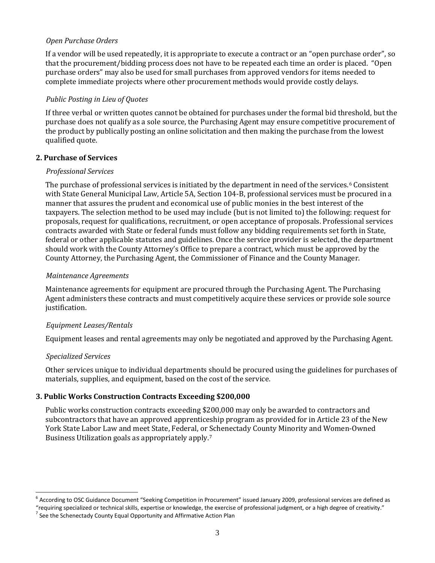### *Open Purchase Orders*

If a vendor will be used repeatedly, it is appropriate to execute a contract or an "open purchase order", so that the procurement/bidding process does not have to be repeated each time an order is placed. "Open purchase orders" may also be used for small purchases from approved vendors for items needed to complete immediate projects where other procurement methods would provide costly delays.

#### *Public Posting in Lieu of Quotes*

If three verbal or written quotes cannot be obtained for purchases under the formal bid threshold, but the purchase does not qualify as a sole source, the Purchasing Agent may ensure competitive procurement of the product by publically posting an online solicitation and then making the purchase from the lowest qualified quote.

### **2. Purchase of Services**

#### *Professional Services*

The purchase of professional services is initiated by the department in need of the services.<sup>[6](#page-2-0)</sup> Consistent with State General Municipal Law, Article 5A, Section 104-B, professional services must be procured in a manner that assures the prudent and economical use of public monies in the best interest of the taxpayers. The selection method to be used may include (but is not limited to) the following: request for proposals, request for qualifications, recruitment, or open acceptance of proposals. Professional services contracts awarded with State or federal funds must follow any bidding requirements set forth in State, federal or other applicable statutes and guidelines. Once the service provider is selected, the department should work with the County Attorney's Office to prepare a contract, which must be approved by the County Attorney, the Purchasing Agent, the Commissioner of Finance and the County Manager.

#### *Maintenance Agreements*

Maintenance agreements for equipment are procured through the Purchasing Agent. The Purchasing Agent administers these contracts and must competitively acquire these services or provide sole source justification.

#### *Equipment Leases/Rentals*

Equipment leases and rental agreements may only be negotiated and approved by the Purchasing Agent.

#### *Specialized Services*

Other services unique to individual departments should be procured using the guidelines for purchases of materials, supplies, and equipment, based on the cost of the service.

## **3. Public Works Construction Contracts Exceeding \$200,000**

Public works construction contracts exceeding \$200,000 may only be awarded to contractors and subcontractors that have an approved apprenticeship program as provided for in Article 23 of the New York State Labor Law and meet State, Federal, or [S](#page-2-1)chenectady County Minority and Women-Owned Business Utilization goals as appropriately apply.7

<span id="page-2-0"></span><sup>&</sup>lt;sup>6</sup> According to OSC Guidance Document "Seeking Competition in Procurement" issued January 2009, professional services are defined as "requiring specialized or technical skills, expertise or knowledge, the exercise of professional judgment, or a high degree of creativity."<br><sup>7</sup> See the Schenectady County Equal Opportunity and Affirmative Action Plan

<span id="page-2-1"></span>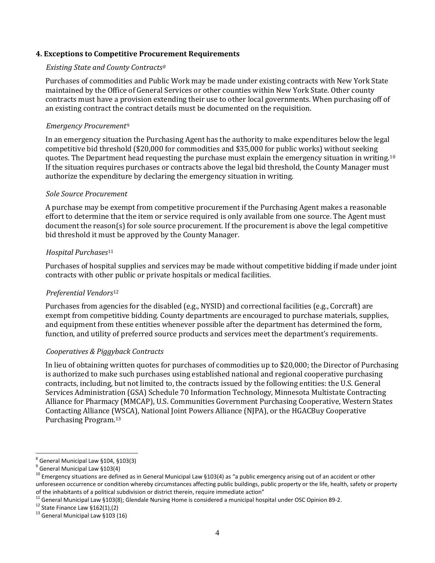#### **4. Exceptions to Competitive Procurement Requirements**

#### *Existing State and County Contracts[8](#page-3-0)*

Purchases of commodities and Public Work may be made under existing contracts with New York State maintained by the Office of General Services or other counties within New York State. Other county contracts must have a provision extending their use to other local governments. When purchasing off of an existing contract the contract details must be documented on the requisition.

### *Emergency Procurement*[9](#page-3-1)

In an emergency situation the Purchasing Agent has the authority to make expenditures below the legal competitive bid threshold (\$20,000 for commodities and \$35,000 for public works) without seeking quotes. The Department head requesting the purchase must explain the emergency situation in writing.[10](#page-3-2) If the situation requires purchases or contracts above the legal bid threshold, the County Manager must authorize the expenditure by declaring the emergency situation in writing.

### *Sole Source Procurement*

A purchase may be exempt from competitive procurement if the Purchasing Agent makes a reasonable effort to determine that the item or service required is only available from one source. The Agent must document the reason(s) for sole source procurement. If the procurement is above the legal competitive bid threshold it must be approved by the County Manager.

### *Hospital Purchases*[11](#page-3-3)

Purchases of hospital supplies and services may be made without competitive bidding if made under joint contracts with other public or private hospitals or medical facilities.

#### *Preferential Vendors*[12](#page-3-4)

Purchases from agencies for the disabled (e.g., NYSID) and correctional facilities (e.g., Corcraft) are exempt from competitive bidding. County departments are encouraged to purchase materials, supplies, and equipment from these entities whenever possible after the department has determined the form, function, and utility of preferred source products and services meet the department's requirements.

## *Cooperatives & Piggyback Contracts*

In lieu of obtaining written quotes for purchases of commodities up to \$20,000; the Director of Purchasing is authorized to make such purchases using established national and regional cooperative purchasing contracts, including, but not limited to, the contracts issued by the following entities: the U.S. General Services Administration (GSA) Schedule 70 Information Technology, Minnesota Multistate Contracting Alliance for Pharmacy (MMCAP), U.S. Communities Government Purchasing Cooperative, Western States Contacting Alliance ([W](#page-3-5)SCA), National Joint Powers Alliance (NJPA), or the HGACBuy Cooperative Purchasing Program.13

<span id="page-3-0"></span><sup>8</sup> General Municipal Law §104, §103(3)

<span id="page-3-1"></span> $9$  General Municipal Law §103(4)

<span id="page-3-2"></span><sup>&</sup>lt;sup>10</sup> Emergency situations are defined as in General Municipal Law §103(4) as "a public emergency arising out of an accident or other unforeseen occurrence or condition whereby circumstances affecting public buildings, public property or the life, health, safety or property of the inhabitants of a political subdivision or district therein, require immedi

<span id="page-3-4"></span><span id="page-3-3"></span><sup>&</sup>lt;sup>11</sup> General Municipal Law §103(8); Glendale Nursing Home is considered a municipal hospital under OSC Opinion 89-2.<br><sup>12</sup> State Finance Law §162(1),(2)<br><sup>13</sup> General Municipal Law §103 (16)

<span id="page-3-5"></span>